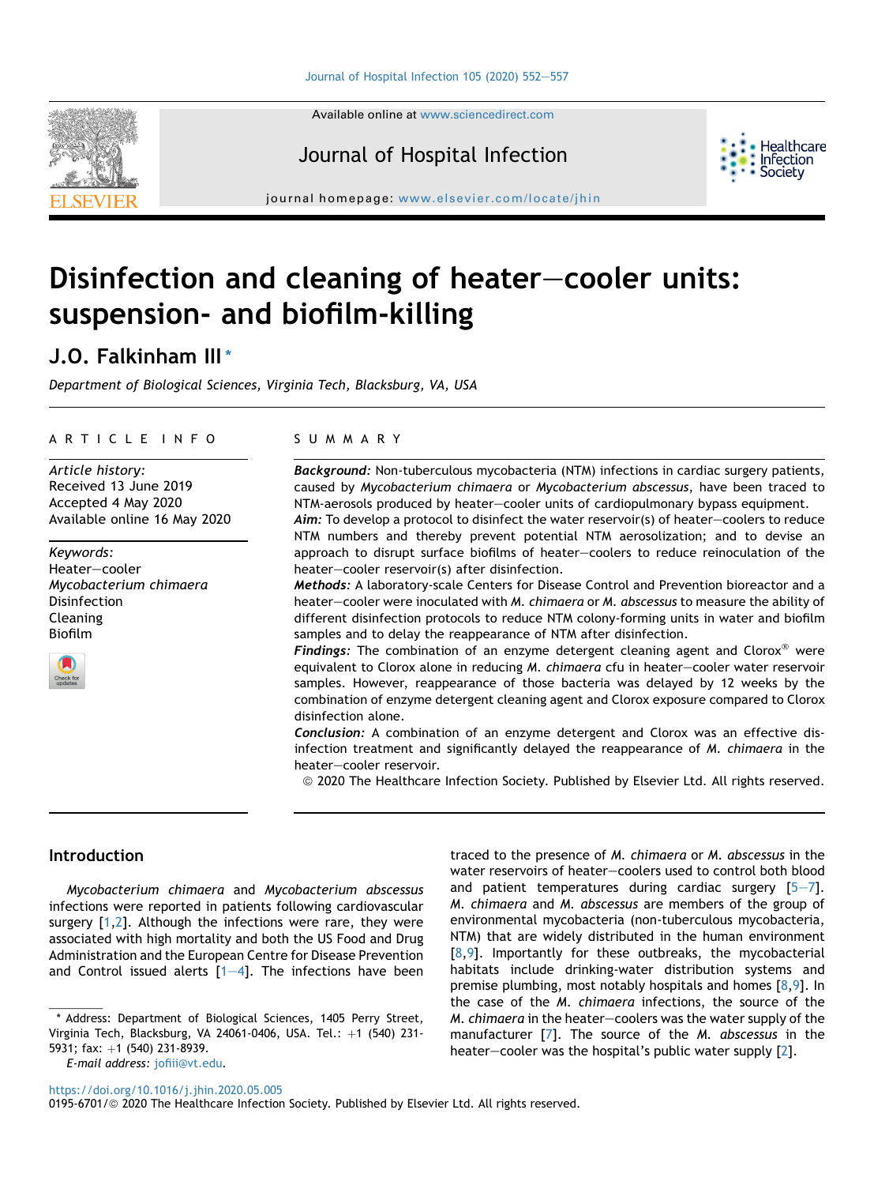Available online at [www.sciencedirect.com](www.sciencedirect.com/science/journal/01956701)

# Journal of Hospital Infection

journal homepage: [www.elsevier.com/locate/jhin](http://www.elsevier.com/locate/jhin)

# Disinfection and cleaning of heater-cooler units: suspension- and biofilm-killing

# J.O. Falkinham III [\\*](#page-0-0)

Department of Biological Sciences, Virginia Tech, Blacksburg, VA, USA

#### ARTICLE INFO

Article history: Received 13 June 2019 Accepted 4 May 2020 Available online 16 May 2020

Keywords: Heater-cooler Mycobacterium chimaera Disinfection Cleaning Biofilm



#### SUMMARY

Background: Non-tuberculous mycobacteria (NTM) infections in cardiac surgery patients, caused by Mycobacterium chimaera or Mycobacterium abscessus, have been traced to NTM-aerosols produced by heater-cooler units of cardiopulmonary bypass equipment. Aim: To develop a protocol to disinfect the water reservoir(s) of heater-coolers to reduce

NTM numbers and thereby prevent potential NTM aerosolization; and to devise an approach to disrupt surface biofilms of heater-coolers to reduce reinoculation of the heater-cooler reservoir(s) after disinfection.

Methods: A laboratory-scale Centers for Disease Control and Prevention bioreactor and a heater–cooler were inoculated with M. *chimaera* or M. abscessus to measure the ability of different disinfection protocols to reduce NTM colony-forming units in water and biofilm samples and to delay the reappearance of NTM after disinfection.

**Findings:** The combination of an enzyme detergent cleaning agent and Clorox<sup>®</sup> were equivalent to Clorox alone in reducing M. chimaera cfu in heater-cooler water reservoir samples. However, reappearance of those bacteria was delayed by 12 weeks by the combination of enzyme detergent cleaning agent and Clorox exposure compared to Clorox disinfection alone.

Conclusion: A combination of an enzyme detergent and Clorox was an effective disinfection treatment and significantly delayed the reappearance of M. chimaera in the heater-cooler reservoir.

ª 2020 The Healthcare Infection Society. Published by Elsevier Ltd. All rights reserved.

# Introduction

Mycobacterium chimaera and Mycobacterium abscessus infections were reported in patients following cardiovascular surgery [[1](#page-5-0)[,2](#page-5-1)]. Although the infections were rare, they were associated with high mortality and both the US Food and Drug Administration and the European Centre for Disease Prevention and Control issued alerts  $[1-4]$  $[1-4]$  $[1-4]$  $[1-4]$ . The infections have been and patient temperatures during cardiac surgery  $[5-7]$  $[5-7]$  $[5-7]$  $[5-7]$ . M. chimaera and M. abscessus are members of the group of environmental mycobacteria (non-tuberculous mycobacteria, NTM) that are widely distributed in the human environment  $[8,9]$  $[8,9]$ . Importantly for these outbreaks, the mycobacterial habitats include drinking-water distribution systems and premise plumbing, most notably hospitals and homes [\[8](#page-5-3)[,9\]](#page-5-4). In the case of the M. chimaera infections, the source of the  $M.$  chimaera in the heater-coolers was the water supply of the manufacturer [[7](#page-5-5)]. The source of the M. abscessus in the heater-cooler was the hospital's public water supply [\[2](#page-5-1)].

traced to the presence of M. chimaera or M. abscessus in the water reservoirs of heater-coolers used to control both blood

<https://doi.org/10.1016/j.jhin.2020.05.005>

0195-6701/@ 2020 The Healthcare Infection Society. Published by Elsevier Ltd. All rights reserved.





<span id="page-0-0"></span><sup>\*</sup> Address: Department of Biological Sciences, 1405 Perry Street, Virginia Tech, Blacksburg, VA 24061-0406, USA. Tel.: +1 (540) 231-5931; fax: +1 (540) 231-8939. E-mail address: [jofiii@vt.edu.](mailto:jofiii@vt.edu)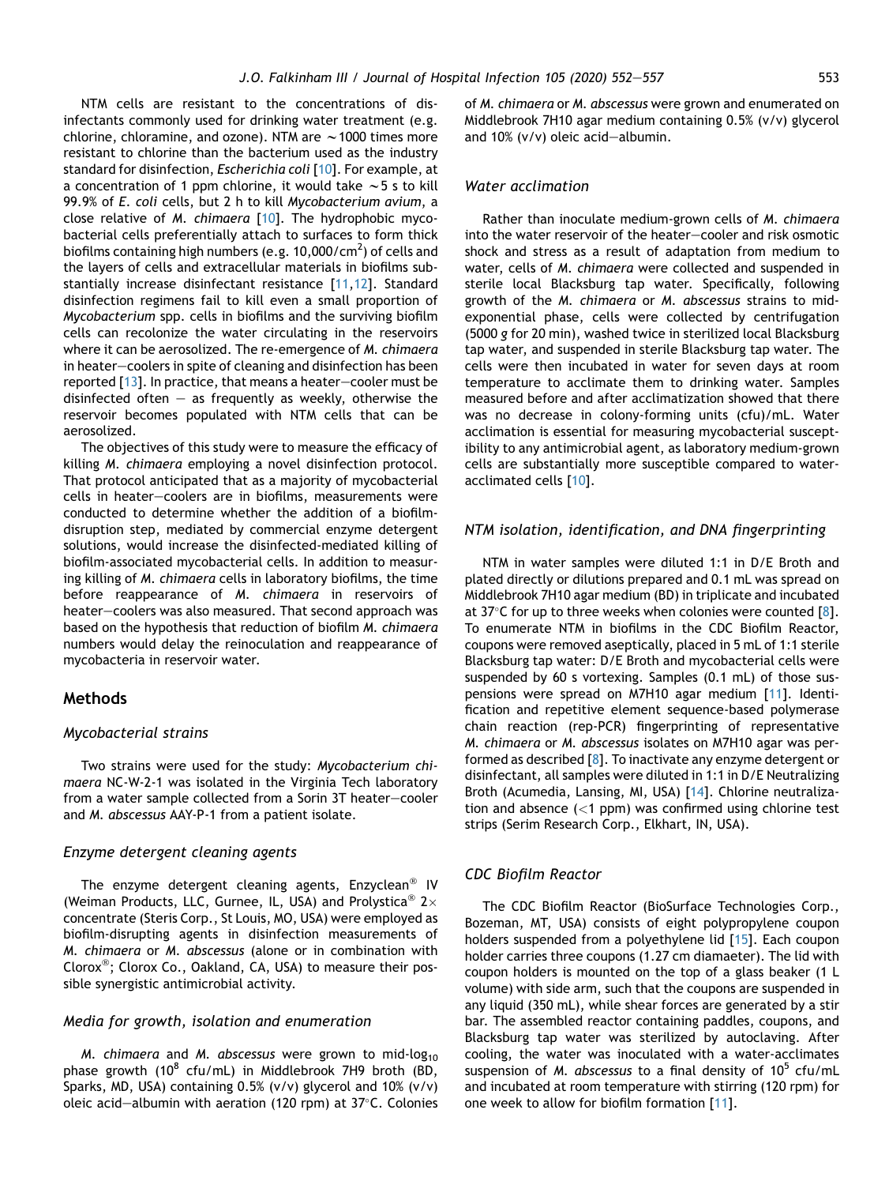NTM cells are resistant to the concentrations of disinfectants commonly used for drinking water treatment (e.g. chlorine, chloramine, and ozone). NTM are  $\sim$  1000 times more resistant to chlorine than the bacterium used as the industry standard for disinfection, Escherichia coli [\[10](#page-5-6)]. For example, at a concentration of 1 ppm chlorine, it would take  $\sim$  5 s to kill 99.9% of E. coli cells, but 2 h to kill Mycobacterium avium, a close relative of M. chimaera [\[10\]](#page-5-6). The hydrophobic mycobacterial cells preferentially attach to surfaces to form thick biofilms containing high numbers (e.g. 10,000/cm $^2$ ) of cells and the layers of cells and extracellular materials in biofilms substantially increase disinfectant resistance [[11](#page-5-7)[,12\]](#page-5-8). Standard disinfection regimens fail to kill even a small proportion of Mycobacterium spp. cells in biofilms and the surviving biofilm cells can recolonize the water circulating in the reservoirs where it can be aerosolized. The re-emergence of M. chimaera in heater–coolers in spite of cleaning and disinfection has been reported  $[13]$  $[13]$  $[13]$ . In practice, that means a heater-cooler must be disinfected often  $-$  as frequently as weekly, otherwise the reservoir becomes populated with NTM cells that can be aerosolized.

The objectives of this study were to measure the efficacy of killing M. chimaera employing a novel disinfection protocol. That protocol anticipated that as a majority of mycobacterial cells in heater-coolers are in biofilms, measurements were conducted to determine whether the addition of a biofilmdisruption step, mediated by commercial enzyme detergent solutions, would increase the disinfected-mediated killing of biofilm-associated mycobacterial cells. In addition to measuring killing of M. chimaera cells in laboratory biofilms, the time before reappearance of M. chimaera in reservoirs of heater-coolers was also measured. That second approach was based on the hypothesis that reduction of biofilm M. chimaera numbers would delay the reinoculation and reappearance of mycobacteria in reservoir water.

# Methods

#### Mycobacterial strains

Two strains were used for the study: Mycobacterium chimaera NC-W-2-1 was isolated in the Virginia Tech laboratory from a water sample collected from a Sorin 3T heater-cooler and M. abscessus AAY-P-1 from a patient isolate.

#### Enzyme detergent cleaning agents

The enzyme detergent cleaning agents, Enzyclean<sup>®</sup> IV (Weiman Products, LLC, Gurnee, IL, USA) and Prolystica<sup>®</sup> 2× concentrate (Steris Corp., St Louis, MO, USA) were employed as biofilm-disrupting agents in disinfection measurements of M. chimaera or M. abscessus (alone or in combination with Clorox<sup>®</sup>; Clorox Co., Oakland, CA, USA) to measure their possible synergistic antimicrobial activity.

#### Media for growth, isolation and enumeration

M. chimaera and M. abscessus were grown to mid-log<sub>10</sub> phase growth (10 $^8$  cfu/mL) in Middlebrook 7H9 broth (BD, Sparks, MD, USA) containing 0.5% (v/v) glycerol and 10% (v/v) oleic acid-albumin with aeration (120 rpm) at  $37^{\circ}$ C. Colonies of M. chimaera or M. abscessus were grown and enumerated on Middlebrook 7H10 agar medium containing 0.5% (v/v) glycerol and  $10\%$  (v/v) oleic acid-albumin.

#### Water acclimation

Rather than inoculate medium-grown cells of M. chimaera into the water reservoir of the heater-cooler and risk osmotic shock and stress as a result of adaptation from medium to water, cells of M. chimaera were collected and suspended in sterile local Blacksburg tap water. Specifically, following growth of the M. chimaera or M. abscessus strains to midexponential phase, cells were collected by centrifugation (5000 g for 20 min), washed twice in sterilized local Blacksburg tap water, and suspended in sterile Blacksburg tap water. The cells were then incubated in water for seven days at room temperature to acclimate them to drinking water. Samples measured before and after acclimatization showed that there was no decrease in colony-forming units (cfu)/mL. Water acclimation is essential for measuring mycobacterial susceptibility to any antimicrobial agent, as laboratory medium-grown cells are substantially more susceptible compared to wateracclimated cells [\[10](#page-5-6)].

# NTM isolation, identification, and DNA fingerprinting

NTM in water samples were diluted 1:1 in D/E Broth and plated directly or dilutions prepared and 0.1 mL was spread on Middlebrook 7H10 agar medium (BD) in triplicate and incubated at 37 $\degree$ C for up to three weeks when colonies were counted [\[8](#page-5-3)]. To enumerate NTM in biofilms in the CDC Biofilm Reactor, coupons were removed aseptically, placed in 5 mL of 1:1 sterile Blacksburg tap water: D/E Broth and mycobacterial cells were suspended by 60 s vortexing. Samples (0.1 mL) of those suspensions were spread on M7H10 agar medium [\[11\]](#page-5-7). Identification and repetitive element sequence-based polymerase chain reaction (rep-PCR) fingerprinting of representative M. chimaera or M. abscessus isolates on M7H10 agar was performed as described [[8\]](#page-5-3). To inactivate any enzyme detergent or disinfectant, all samples were diluted in 1:1 in D/E Neutralizing Broth (Acumedia, Lansing, MI, USA) [[14\]](#page-5-10). Chlorine neutralization and absence  $(<1$  ppm) was confirmed using chlorine test strips (Serim Research Corp., Elkhart, IN, USA).

#### CDC Biofilm Reactor

The CDC Biofilm Reactor (BioSurface Technologies Corp., Bozeman, MT, USA) consists of eight polypropylene coupon holders suspended from a polyethylene lid [\[15](#page-5-11)]. Each coupon holder carries three coupons (1.27 cm diamaeter). The lid with coupon holders is mounted on the top of a glass beaker (1 L volume) with side arm, such that the coupons are suspended in any liquid (350 mL), while shear forces are generated by a stir bar. The assembled reactor containing paddles, coupons, and Blacksburg tap water was sterilized by autoclaving. After cooling, the water was inoculated with a water-acclimates suspension of M. abscessus to a final density of  $10^5$  cfu/mL and incubated at room temperature with stirring (120 rpm) for one week to allow for biofilm formation [[11](#page-5-7)].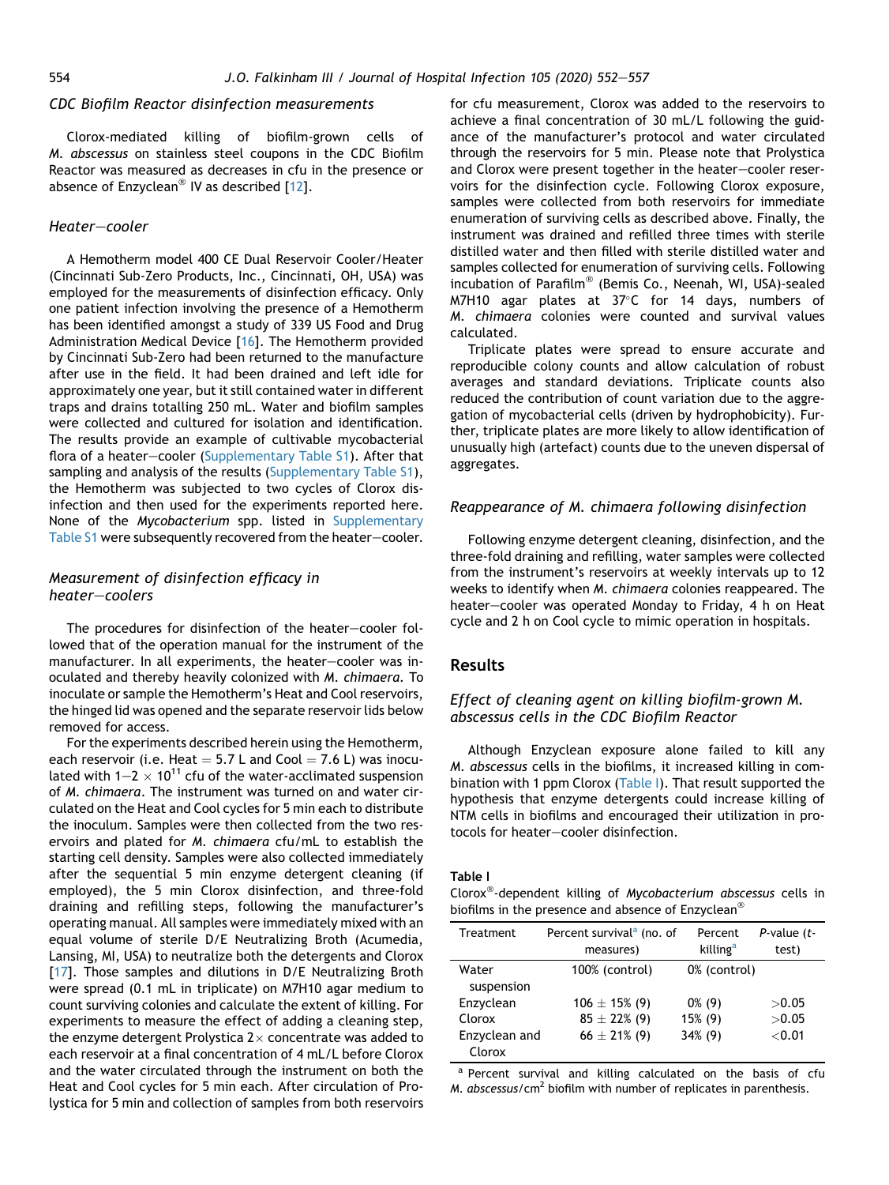#### CDC Biofilm Reactor disinfection measurements

Clorox-mediated killing of biofilm-grown cells of M. abscessus on stainless steel coupons in the CDC Biofilm Reactor was measured as decreases in cfu in the presence or absence of Enzyclean<sup>®</sup> IV as described  $[12]$  $[12]$  $[12]$ .

# Heater-cooler

A Hemotherm model 400 CE Dual Reservoir Cooler/Heater (Cincinnati Sub-Zero Products, Inc., Cincinnati, OH, USA) was employed for the measurements of disinfection efficacy. Only one patient infection involving the presence of a Hemotherm has been identified amongst a study of 339 US Food and Drug Administration Medical Device [\[16\]](#page-5-12). The Hemotherm provided by Cincinnati Sub-Zero had been returned to the manufacture after use in the field. It had been drained and left idle for approximately one year, but it still contained water in different traps and drains totalling 250 mL. Water and biofilm samples were collected and cultured for isolation and identification. The results provide an example of cultivable mycobacterial flora of a heater-cooler (Supplementary Table S1). After that sampling and analysis of the results (Supplementary Table S1), the Hemotherm was subjected to two cycles of Clorox disinfection and then used for the experiments reported here. None of the Mycobacterium spp. listed in Supplementary Table S1 were subsequently recovered from the heater-cooler.

# Measurement of disinfection efficacy in  $heater-coolers$

The procedures for disinfection of the heater-cooler followed that of the operation manual for the instrument of the manufacturer. In all experiments, the heater-cooler was inoculated and thereby heavily colonized with M. chimaera. To inoculate or sample the Hemotherm's Heat and Cool reservoirs, the hinged lid was opened and the separate reservoir lids below removed for access.

For the experiments described herein using the Hemotherm, each reservoir (i.e. Heat  $= 5.7$  L and Cool  $= 7.6$  L) was inoculated with 1–2  $\times$  10<sup>11</sup> cfu of the water-acclimated suspension of M. chimaera. The instrument was turned on and water circulated on the Heat and Cool cycles for 5 min each to distribute the inoculum. Samples were then collected from the two reservoirs and plated for M. chimaera cfu/mL to establish the starting cell density. Samples were also collected immediately after the sequential 5 min enzyme detergent cleaning (if employed), the 5 min Clorox disinfection, and three-fold draining and refilling steps, following the manufacturer's operating manual. All samples were immediately mixed with an equal volume of sterile D/E Neutralizing Broth (Acumedia, Lansing, MI, USA) to neutralize both the detergents and Clorox [\[17](#page-5-13)]. Those samples and dilutions in D/E Neutralizing Broth were spread (0.1 mL in triplicate) on M7H10 agar medium to count surviving colonies and calculate the extent of killing. For experiments to measure the effect of adding a cleaning step, the enzyme detergent Prolystica  $2\times$  concentrate was added to each reservoir at a final concentration of 4 mL/L before Clorox and the water circulated through the instrument on both the Heat and Cool cycles for 5 min each. After circulation of Prolystica for 5 min and collection of samples from both reservoirs for cfu measurement, Clorox was added to the reservoirs to achieve a final concentration of 30 mL/L following the guidance of the manufacturer's protocol and water circulated through the reservoirs for 5 min. Please note that Prolystica and Clorox were present together in the heater-cooler reservoirs for the disinfection cycle. Following Clorox exposure, samples were collected from both reservoirs for immediate enumeration of surviving cells as described above. Finally, the instrument was drained and refilled three times with sterile distilled water and then filled with sterile distilled water and samples collected for enumeration of surviving cells. Following incubation of Parafilm<sup>®</sup> (Bemis Co., Neenah, WI, USA)-sealed M7H10 agar plates at  $37^{\circ}$ C for 14 days, numbers of M. chimaera colonies were counted and survival values calculated.

Triplicate plates were spread to ensure accurate and reproducible colony counts and allow calculation of robust averages and standard deviations. Triplicate counts also reduced the contribution of count variation due to the aggregation of mycobacterial cells (driven by hydrophobicity). Further, triplicate plates are more likely to allow identification of unusually high (artefact) counts due to the uneven dispersal of aggregates.

#### Reappearance of M. chimaera following disinfection

Following enzyme detergent cleaning, disinfection, and the three-fold draining and refilling, water samples were collected from the instrument's reservoirs at weekly intervals up to 12 weeks to identify when M. chimaera colonies reappeared. The heater-cooler was operated Monday to Friday, 4 h on Heat cycle and 2 h on Cool cycle to mimic operation in hospitals.

## Results

# Effect of cleaning agent on killing biofilm-grown M. abscessus cells in the CDC Biofilm Reactor

Although Enzyclean exposure alone failed to kill any M. abscessus cells in the biofilms, it increased killing in com-bination with 1 ppm Clorox ([Table I\)](#page-2-0). That result supported the hypothesis that enzyme detergents could increase killing of NTM cells in biofilms and encouraged their utilization in protocols for heater-cooler disinfection.

#### <span id="page-2-0"></span>Table I

Clorox<sup>®</sup>-dependent killing of Mycobacterium abscessus cells in biofilms in the presence and absence of Enzyclean<sup>®</sup>

| Treatment               | Percent survival <sup>a</sup> (no. of<br>measures) | Percent<br>killing <sup>a</sup> | $P$ -value $(t-$<br>test) |
|-------------------------|----------------------------------------------------|---------------------------------|---------------------------|
| Water<br>suspension     | 100% (control)                                     | 0% (control)                    |                           |
| Enzyclean               | $106 \pm 15\%$ (9)                                 | $0\%$ (9)                       | >0.05                     |
| Clorox                  | $85 \pm 22\%$ (9)                                  | 15% (9)                         | >0.05                     |
| Enzyclean and<br>Clorox | $66 \pm 21\%$ (9)                                  | 34% (9)                         | < 0.01                    |

a Percent survival and killing calculated on the basis of cfu M. abscessus/cm<sup>2</sup> biofilm with number of replicates in parenthesis.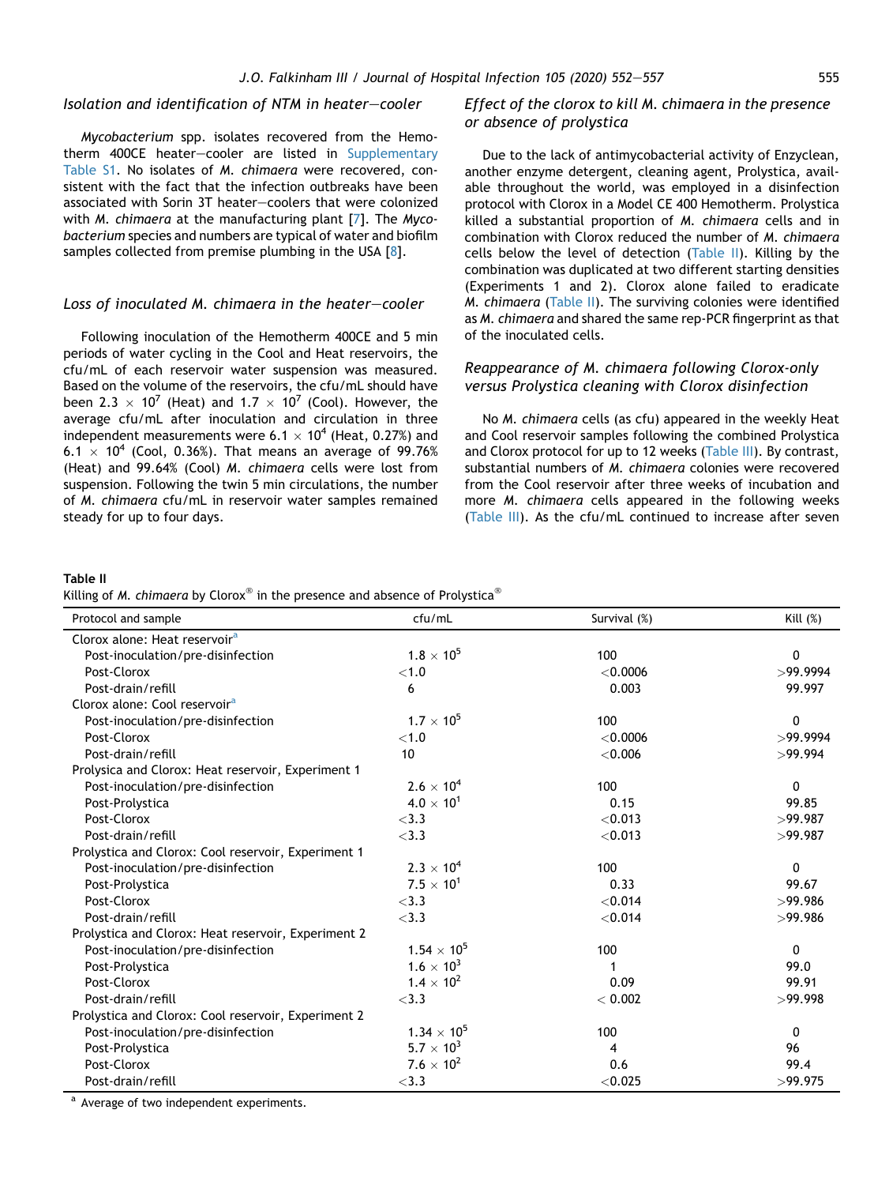# Isolation and identification of NTM in heater-cooler

Mycobacterium spp. isolates recovered from the Hemotherm 400CE heater-cooler are listed in Supplementary Table S1. No isolates of M. chimaera were recovered, consistent with the fact that the infection outbreaks have been associated with Sorin 3T heater-coolers that were colonized with M. chimaera at the manufacturing plant [[7](#page-5-5)]. The Mycobacterium species and numbers are typical of water and biofilm samples collected from premise plumbing in the USA [[8](#page-5-3)].

## Loss of inoculated M. chimaera in the heater-cooler

Following inoculation of the Hemotherm 400CE and 5 min periods of water cycling in the Cool and Heat reservoirs, the cfu/mL of each reservoir water suspension was measured. Based on the volume of the reservoirs, the cfu/mL should have been 2.3  $\times$  10<sup>7</sup> (Heat) and 1.7  $\times$  10<sup>7</sup> (Cool). However, the average cfu/mL after inoculation and circulation in three independent measurements were  $6.1 \times 10^4$  (Heat, 0.27%) and  $6.1 \times 10^4$  (Cool, 0.36%). That means an average of 99.76% (Heat) and 99.64% (Cool) M. chimaera cells were lost from suspension. Following the twin 5 min circulations, the number of M. chimaera cfu/mL in reservoir water samples remained steady for up to four days.

# Effect of the clorox to kill M. chimaera in the presence or absence of prolystica

Due to the lack of antimycobacterial activity of Enzyclean, another enzyme detergent, cleaning agent, Prolystica, available throughout the world, was employed in a disinfection protocol with Clorox in a Model CE 400 Hemotherm. Prolystica killed a substantial proportion of M. chimaera cells and in combination with Clorox reduced the number of M. chimaera cells below the level of detection ([Table II](#page-3-0)). Killing by the combination was duplicated at two different starting densities (Experiments 1 and 2). Clorox alone failed to eradicate M. chimaera ([Table II\)](#page-3-0). The surviving colonies were identified as M. chimaera and shared the same rep-PCR fingerprint as that of the inoculated cells.

# Reappearance of M. chimaera following Clorox-only versus Prolystica cleaning with Clorox disinfection

No M. chimaera cells (as cfu) appeared in the weekly Heat and Cool reservoir samples following the combined Prolystica and Clorox protocol for up to 12 weeks ([Table III\)](#page-4-0). By contrast, substantial numbers of M. chimaera colonies were recovered from the Cool reservoir after three weeks of incubation and more M. chimaera cells appeared in the following weeks ([Table III](#page-4-0)). As the cfu/mL continued to increase after seven

### <span id="page-3-0"></span>Table II

Killing of M. chimaera by Clorox<sup>®</sup> in the presence and absence of Prolystica<sup>®</sup>

| Protocol and sample                                 | cfu/mL               | Survival (%) | Kill $(\%)$ |
|-----------------------------------------------------|----------------------|--------------|-------------|
| Clorox alone: Heat reservoir <sup>a</sup>           |                      |              |             |
| Post-inoculation/pre-disinfection                   | $1.8 \times 10^{5}$  | 100          | 0           |
| Post-Clorox                                         | ${<}1.0$             | < 0.0006     | >99.9994    |
| Post-drain/refill                                   | 6                    | 0.003        | 99.997      |
| Clorox alone: Cool reservoir <sup>a</sup>           |                      |              |             |
| Post-inoculation/pre-disinfection                   | $1.7 \times 10^{5}$  | 100          | 0           |
| Post-Clorox                                         | < 1.0                | $<$ 0.0006   | >99.9994    |
| Post-drain/refill                                   | 10 <sup>10</sup>     | < 0.006      | >99.994     |
| Prolysica and Clorox: Heat reservoir, Experiment 1  |                      |              |             |
| Post-inoculation/pre-disinfection                   | $2.6 \times 10^{4}$  | 100          | 0           |
| Post-Prolystica                                     | $4.0 \times 10^{1}$  | 0.15         | 99.85       |
| Post-Clorox                                         | $<$ 3.3              | < 0.013      | >99.987     |
| Post-drain/refill                                   | $<$ 3.3              | < 0.013      | >99.987     |
| Prolystica and Clorox: Cool reservoir, Experiment 1 |                      |              |             |
| Post-inoculation/pre-disinfection                   | $2.3 \times 10^{4}$  | 100          | 0           |
| Post-Prolystica                                     | $7.5 \times 10^{1}$  | 0.33         | 99.67       |
| Post-Clorox                                         | $<$ 3.3              | < 0.014      | >99.986     |
| Post-drain/refill                                   | $<$ 3.3              | < 0.014      | >99.986     |
| Prolystica and Clorox: Heat reservoir, Experiment 2 |                      |              |             |
| Post-inoculation/pre-disinfection                   | $1.54 \times 10^{5}$ | 100          | 0           |
| Post-Prolystica                                     | $1.6 \times 10^{3}$  |              | 99.0        |
| Post-Clorox                                         | $1.4 \times 10^{2}$  | 0.09         | 99.91       |
| Post-drain/refill                                   | $<$ 3.3              | < 0.002      | >99.998     |
| Prolystica and Clorox: Cool reservoir, Experiment 2 |                      |              |             |
| Post-inoculation/pre-disinfection                   | $1.34 \times 10^{5}$ | 100          | 0           |
| Post-Prolystica                                     | $5.7 \times 10^{3}$  | 4            | 96          |
| Post-Clorox                                         | $7.6 \times 10^{2}$  | 0.6          | 99.4        |
| Post-drain/refill                                   | $<$ 3.3              | < 0.025      | >99.975     |

a Average of two independent experiments.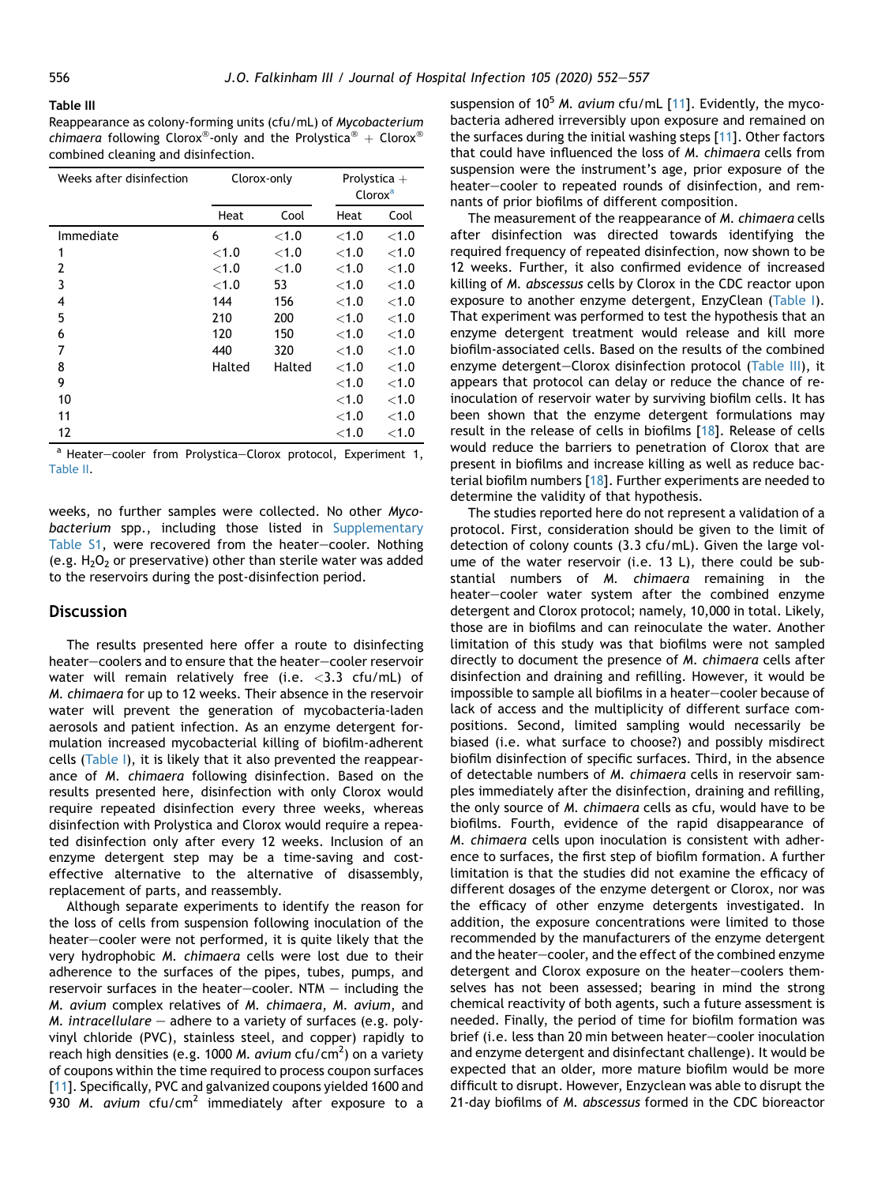#### <span id="page-4-0"></span>Table III

Reappearance as colony-forming units (cfu/mL) of Mycobacterium chimaera following Clorox<sup>®</sup>-only and the Prolystica<sup>®</sup> + Clorox<sup>®</sup> combined cleaning and disinfection.

| Weeks after disinfection | Clorox-only |          | Prolystica $+$<br>Clorox <sup>a</sup> |          |
|--------------------------|-------------|----------|---------------------------------------|----------|
|                          | Heat        | Cool     | Heat                                  | Cool     |
| Immediate                | 6           | < 1.0    | < 1.0                                 | < 1.0    |
| 1                        | ${<}1.0$    | ${<}1.0$ | $<$ 1.0                               | ${<}1.0$ |
| 2                        | ${<}1.0$    | < 1.0    | $<$ 1.0                               | ${<}1.0$ |
| 3                        | < 1.0       | 53       | < 1.0                                 | ${<}1.0$ |
| 4                        | 144         | 156      | < 1.0                                 | < 1.0    |
| 5                        | 210         | 200      | < 1.0                                 | ${<}1.0$ |
| 6                        | 120         | 150      | $<$ 1.0                               | ${<}1.0$ |
| 7                        | 440         | 320      | $<$ 1.0                               | $<$ 1.0  |
| 8                        | Halted      | Halted   | < 1.0                                 | < 1.0    |
| 9                        |             |          | < 1.0                                 | < 1.0    |
| 10                       |             |          | $<$ 1.0                               | ${<}1.0$ |
| 11                       |             |          | < 1.0                                 | $<$ 1.0  |
| 12                       |             |          | ${<}1.0$                              | ${<}1.0$ |

<sup>a</sup> Heater-cooler from Prolystica-Clorox protocol, Experiment 1, [Table II.](#page-3-0)

weeks, no further samples were collected. No other Mycobacterium spp., including those listed in Supplementary Table S1, were recovered from the heater-cooler. Nothing (e.g.  $H_2O_2$  or preservative) other than sterile water was added to the reservoirs during the post-disinfection period.

#### **Discussion**

The results presented here offer a route to disinfecting heater-coolers and to ensure that the heater-cooler reservoir water will remain relatively free (i.e.  $<$ 3.3 cfu/mL) of M. chimaera for up to 12 weeks. Their absence in the reservoir water will prevent the generation of mycobacteria-laden aerosols and patient infection. As an enzyme detergent formulation increased mycobacterial killing of biofilm-adherent cells [\(Table I\)](#page-2-0), it is likely that it also prevented the reappearance of M. chimaera following disinfection. Based on the results presented here, disinfection with only Clorox would require repeated disinfection every three weeks, whereas disinfection with Prolystica and Clorox would require a repeated disinfection only after every 12 weeks. Inclusion of an enzyme detergent step may be a time-saving and costeffective alternative to the alternative of disassembly, replacement of parts, and reassembly.

Although separate experiments to identify the reason for the loss of cells from suspension following inoculation of the heater-cooler were not performed, it is quite likely that the very hydrophobic M. chimaera cells were lost due to their adherence to the surfaces of the pipes, tubes, pumps, and reservoir surfaces in the heater-cooler.  $NTM -$  including the M. avium complex relatives of M. chimaera, M. avium, and M. intracellulare  $-$  adhere to a variety of surfaces (e.g. polyvinyl chloride (PVC), stainless steel, and copper) rapidly to reach high densities (e.g. 1000 *M. avium* cfu/cm<sup>2</sup>) on a variety of coupons within the time required to process coupon surfaces [\[11](#page-5-7)]. Specifically, PVC and galvanized coupons yielded 1600 and 930 M. avium cfu/cm<sup>2</sup> immediately after exposure to a suspension of  $10^5$  M. avium cfu/mL [\[11\]](#page-5-7). Evidently, the mycobacteria adhered irreversibly upon exposure and remained on the surfaces during the initial washing steps [[11](#page-5-7)]. Other factors that could have influenced the loss of M. chimaera cells from suspension were the instrument's age, prior exposure of the heater-cooler to repeated rounds of disinfection, and remnants of prior biofilms of different composition.

The measurement of the reappearance of M. chimaera cells after disinfection was directed towards identifying the required frequency of repeated disinfection, now shown to be 12 weeks. Further, it also confirmed evidence of increased killing of M. abscessus cells by Clorox in the CDC reactor upon exposure to another enzyme detergent, EnzyClean [\(Table I](#page-2-0)). That experiment was performed to test the hypothesis that an enzyme detergent treatment would release and kill more biofilm-associated cells. Based on the results of the combined enzyme detergent-Clorox disinfection protocol ([Table III\)](#page-4-0), it appears that protocol can delay or reduce the chance of reinoculation of reservoir water by surviving biofilm cells. It has been shown that the enzyme detergent formulations may result in the release of cells in biofilms [[18](#page-5-14)]. Release of cells would reduce the barriers to penetration of Clorox that are present in biofilms and increase killing as well as reduce bacterial biofilm numbers [\[18\]](#page-5-14). Further experiments are needed to determine the validity of that hypothesis.

The studies reported here do not represent a validation of a protocol. First, consideration should be given to the limit of detection of colony counts (3.3 cfu/mL). Given the large volume of the water reservoir (i.e. 13 L), there could be substantial numbers of M. chimaera remaining in the heater-cooler water system after the combined enzyme detergent and Clorox protocol; namely, 10,000 in total. Likely, those are in biofilms and can reinoculate the water. Another limitation of this study was that biofilms were not sampled directly to document the presence of M. chimaera cells after disinfection and draining and refilling. However, it would be impossible to sample all biofilms in a heater-cooler because of lack of access and the multiplicity of different surface compositions. Second, limited sampling would necessarily be biased (i.e. what surface to choose?) and possibly misdirect biofilm disinfection of specific surfaces. Third, in the absence of detectable numbers of M. chimaera cells in reservoir samples immediately after the disinfection, draining and refilling, the only source of M. chimaera cells as cfu, would have to be biofilms. Fourth, evidence of the rapid disappearance of M. chimaera cells upon inoculation is consistent with adherence to surfaces, the first step of biofilm formation. A further limitation is that the studies did not examine the efficacy of different dosages of the enzyme detergent or Clorox, nor was the efficacy of other enzyme detergents investigated. In addition, the exposure concentrations were limited to those recommended by the manufacturers of the enzyme detergent and the heater-cooler, and the effect of the combined enzyme detergent and Clorox exposure on the heater-coolers themselves has not been assessed; bearing in mind the strong chemical reactivity of both agents, such a future assessment is needed. Finally, the period of time for biofilm formation was brief (i.e. less than 20 min between heater-cooler inoculation and enzyme detergent and disinfectant challenge). It would be expected that an older, more mature biofilm would be more difficult to disrupt. However, Enzyclean was able to disrupt the 21-day biofilms of M. abscessus formed in the CDC bioreactor